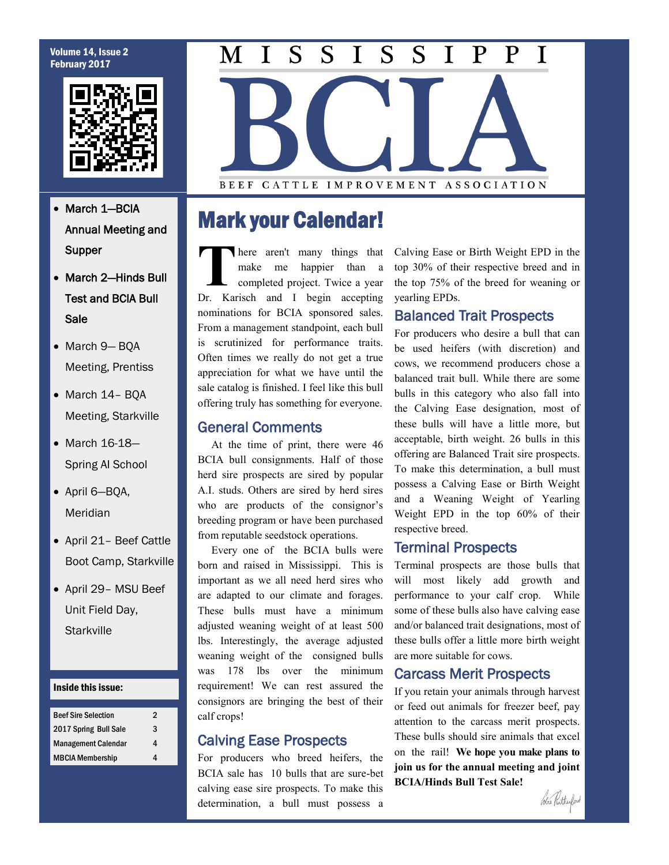#### Volume 14, Issue 2 February 2017



- March 1-BCIA Annual Meeting and Supper
- March 2-Hinds Bull Test and BCIA Bull Sale
- March 9-BQA Meeting, Prentiss
- March 14- BQA Meeting, Starkville
- March 16-18-Spring AI School
- April 6—BQA, Meridian
- April 21– Beef Cattle Boot Camp, Starkville
- April 29- MSU Beef Unit Field Day, **Starkville**

#### Inside this issue:

| <b>Beef Sire Selection</b> | 2 |
|----------------------------|---|
| 2017 Spring Bull Sale      | 3 |
| <b>Management Calendar</b> | 4 |
| <b>MBCIA Membership</b>    |   |

#### $\overline{\mathbf{I}}$  $\overline{S}$  $\overline{S}$  $\overline{S}$ M I  $S \mid I$ P P T

**BEEF** CATTLE IMPROVEMENT ASSOCIATION

# Mark your Calendar!

**T** here aren't many things that make me happier than a completed project. Twice a year Dr. Karisch and I begin accepting nominations for BCIA sponsored sales. From a management standpoint, each bull is scrutinized for performance traits. Often times we really do not get a true appreciation for what we have until the sale catalog is finished. I feel like this bull offering truly has something for everyone.

## General Comments

 At the time of print, there were 46 BCIA bull consignments. Half of those herd sire prospects are sired by popular A.I. studs. Others are sired by herd sires who are products of the consignor's breeding program or have been purchased from reputable seedstock operations.

 Every one of the BCIA bulls were born and raised in Mississippi. This is important as we all need herd sires who are adapted to our climate and forages. These bulls must have a minimum adjusted weaning weight of at least 500 lbs. Interestingly, the average adjusted weaning weight of the consigned bulls was 178 lbs over the minimum requirement! We can rest assured the consignors are bringing the best of their calf crops!

## Calving Ease Prospects

For producers who breed heifers, the BCIA sale has 10 bulls that are sure-bet calving ease sire prospects. To make this determination, a bull must possess a

Calving Ease or Birth Weight EPD in the top 30% of their respective breed and in the top 75% of the breed for weaning or yearling EPDs.

## Balanced Trait Prospects

For producers who desire a bull that can be used heifers (with discretion) and cows, we recommend producers chose a balanced trait bull. While there are some bulls in this category who also fall into the Calving Ease designation, most of these bulls will have a little more, but acceptable, birth weight. 26 bulls in this offering are Balanced Trait sire prospects. To make this determination, a bull must possess a Calving Ease or Birth Weight and a Weaning Weight of Yearling Weight EPD in the top 60% of their respective breed.

## Terminal Prospects

Terminal prospects are those bulls that will most likely add growth and performance to your calf crop. While some of these bulls also have calving ease and/or balanced trait designations, most of these bulls offer a little more birth weight are more suitable for cows.

## Carcass Merit Prospects

If you retain your animals through harvest or feed out animals for freezer beef, pay attention to the carcass merit prospects. These bulls should sire animals that excel on the rail! **We hope you make plans to join us for the annual meeting and joint BCIA/Hinds Bull Test Sale!**

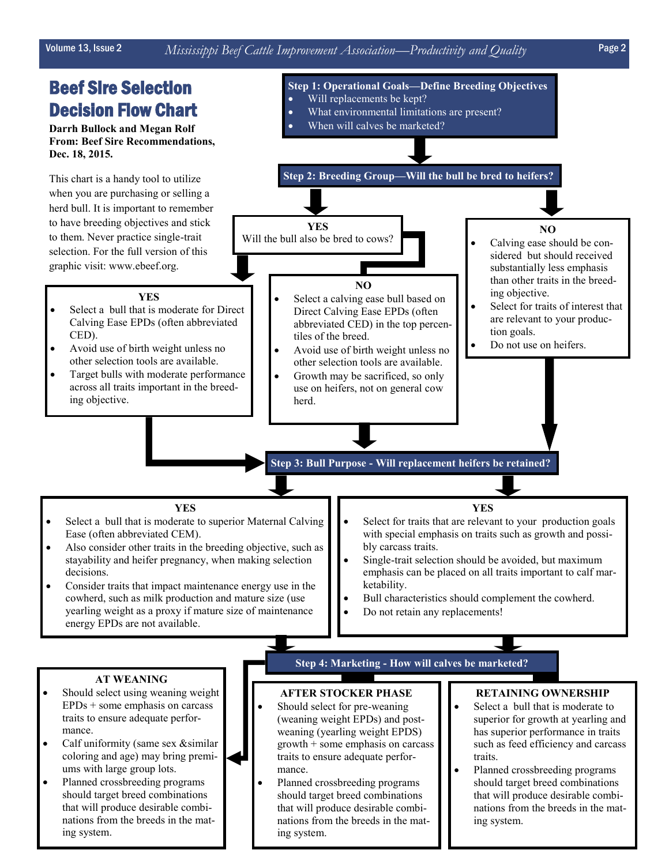that will produce desirable combinations from the breeds in the mat-

ing system.

# Volume 13, Issue 2 *Mississippi Beef Cattle Improvement Association—Productivity and Quality* Page 2

#### Beef Sire Selection Decision Flow Chart **Darrh Bullock and Megan Rolf From: Beef Sire Recommendations, Dec. 18, 2015.** This chart is a handy tool to utilize when you are purchasing or selling a herd bull. It is important to remember to have breeding objectives and stick to them. Never practice single-trait selection. For the full version of this graphic visit: www.ebeef.org. **Step 1: Operational Goals—Define Breeding Objectives** Will replacements be kept? What environmental limitations are present? When will calves be marketed? **Step 2: Breeding Group—Will the bull be bred to heifers? YES** Will the bull also be bred to cows? **NO** Calving ease should be considered but should received substantially less emphasis than other traits in the breeding objective. Select for traits of interest that are relevant to your production goals. Do not use on heifers. **NO** Select a calving ease bull based on Direct Calving Ease EPDs (often abbreviated CED) in the top percentiles of the breed. Avoid use of birth weight unless no other selection tools are available. Growth may be sacrificed, so only use on heifers, not on general cow herd. **YES** Select a bull that is moderate for Direct Calving Ease EPDs (often abbreviated CED). • Avoid use of birth weight unless no other selection tools are available. Target bulls with moderate performance across all traits important in the breeding objective. **Step 3: Bull Purpose - Will replacement heifers be retained? YES** Select a bull that is moderate to superior Maternal Calving Ease (often abbreviated CEM). Also consider other traits in the breeding objective, such as stayability and heifer pregnancy, when making selection decisions. Consider traits that impact maintenance energy use in the cowherd, such as milk production and mature size (use yearling weight as a proxy if mature size of maintenance energy EPDs are not available. **AT WEANING** Should select using weaning weight  $EPDs + some$  emphasis on carcass traits to ensure adequate performance. Calf uniformity (same sex &similar coloring and age) may bring premiums with large group lots. Planned crossbreeding programs should target breed combinations **AFTER STOCKER PHASE** Should select for pre-weaning (weaning weight EPDs) and postweaning (yearling weight EPDS) growth + some emphasis on carcass traits to ensure adequate performance. • Planned crossbreeding programs should target breed combinations **RETAINING OWNERSHIP** Select a bull that is moderate to superior for growth at yearling and has superior performance in traits such as feed efficiency and carcass traits. Planned crossbreeding programs should target breed combinations that will produce desirable combi-**YES** Select for traits that are relevant to your production goals with special emphasis on traits such as growth and possibly carcass traits. Single-trait selection should be avoided, but maximum emphasis can be placed on all traits important to calf marketability. • Bull characteristics should complement the cowherd. Do not retain any replacements! **Step 4: Marketing - How will calves be marketed?**

that will produce desirable combinations from the breeds in the matnations from the breeds in the mat-

ing system.

ing system.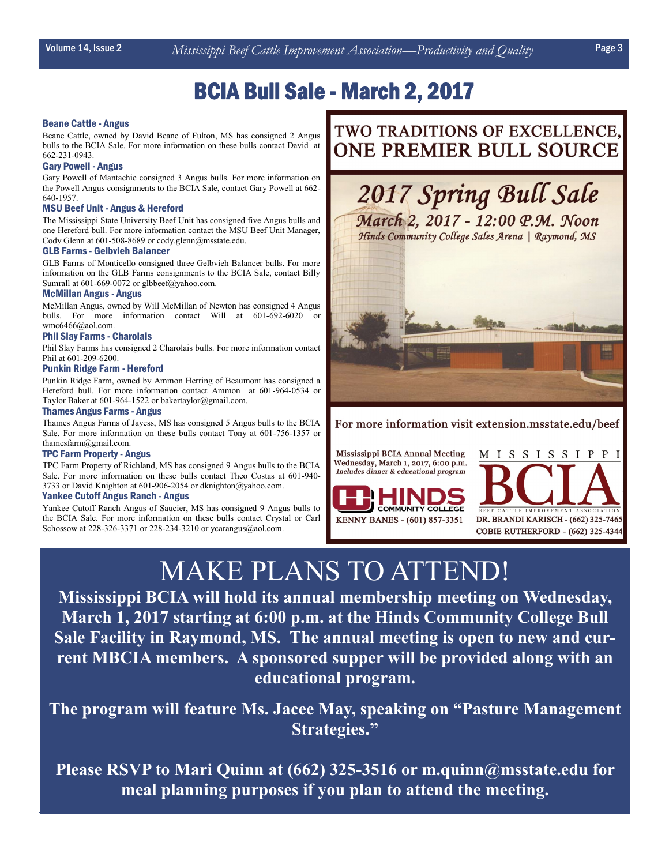# BCIA Bull Sale - March 2, 2017

#### Beane Cattle - Angus

Beane Cattle, owned by David Beane of Fulton, MS has consigned 2 Angus bulls to the BCIA Sale. For more information on these bulls contact David at 662-231-0943.

#### Gary Powell - Angus

Gary Powell of Mantachie consigned 3 Angus bulls. For more information on the Powell Angus consignments to the BCIA Sale, contact Gary Powell at 662- 640-1957.

#### MSU Beef Unit - Angus & Hereford

The Mississippi State University Beef Unit has consigned five Angus bulls and one Hereford bull. For more information contact the MSU Beef Unit Manager, Cody Glenn at 601-508-8689 or cody.glenn@msstate.edu.

#### GLB Farms - Gelbvieh Balancer

GLB Farms of Monticello consigned three Gelbvieh Balancer bulls. For more information on the GLB Farms consignments to the BCIA Sale, contact Billy Sumrall at 601-669-0072 or glbbeef@yahoo.com.

#### McMillan Angus - Angus

McMillan Angus, owned by Will McMillan of Newton has consigned 4 Angus bulls. For more information contact Will at 601-692-6020 or wmc6466@aol.com.

#### Phil Slay Farms - Charolais

Phil Slay Farms has consigned 2 Charolais bulls. For more information contact Phil at 601-209-6200.

#### Punkin Ridge Farm - Hereford

Punkin Ridge Farm, owned by Ammon Herring of Beaumont has consigned a Hereford bull. For more information contact Ammon at 601-964-0534 or Taylor Baker at 601-964-1522 or bakertaylor@gmail.com.

#### Thames Angus Farms - Angus

Thames Angus Farms of Jayess, MS has consigned 5 Angus bulls to the BCIA Sale. For more information on these bulls contact Tony at 601-756-1357 or thamesfarm@gmail.com.

#### TPC Farm Property - Angus

TPC Farm Property of Richland, MS has consigned 9 Angus bulls to the BCIA Sale. For more information on these bulls contact Theo Costas at 601-940- 3733 or David Knighton at 601-906-2054 or dknighton@yahoo.com.

#### Yankee Cutoff Angus Ranch - Angus

Yankee Cutoff Ranch Angus of Saucier, MS has consigned 9 Angus bulls to the BCIA Sale. For more information on these bulls contact Crystal or Carl Schossow at 228-326-3371 or 228-234-3210 or ycarangus@aol.com.

# TWO TRADITIONS OF EXCELLENCE, ONE PREMIER BULL SOURCE



For more information visit extension.msstate.edu/beef

Mississippi BCIA Annual Meeting Wednesday, March 1, 2017, 6:00 p.m. Includes dinner & educational program





# MAKE PLANS TO ATTEND!

**Mississippi BCIA will hold its annual membership meeting on Wednesday, March 1, 2017 starting at 6:00 p.m. at the Hinds Community College Bull Sale Facility in Raymond, MS. The annual meeting is open to new and current MBCIA members. A sponsored supper will be provided along with an educational program.**

**The program will feature Ms. Jacee May, speaking on "Pasture Management Strategies."**

**Please RSVP to Mari Quinn at (662) 325-3516 or m.quinn@msstate.edu for meal planning purposes if you plan to attend the meeting.**